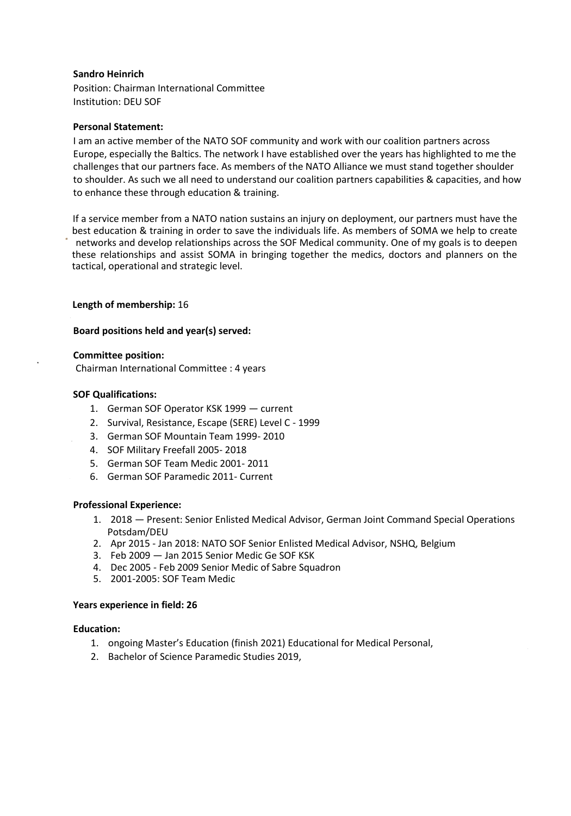# **Sandro Heinrich**

Position: Chairman International Committee Institution: DEU SOF

## **Personal Statement:**

I am an active member of the NATO SOF community and work with our coalition partners across Europe, especially the Baltics. The network I have established over the years has highlighted to me the challenges that our partners face. As members of the NATO Alliance we must stand together shoulder to shoulder. As such we all need to understand our coalition partners capabilities & capacities, and how to enhance these through education & training.

If a service member from a NATO nation sustains an injury on deployment, our partners must have the best education & training in order to save the individuals life. As members of SOMA we help to create networks and develop relationships across the SOF Medical community. One of my goals is to deepen these relationships and assist SOMA in bringing together the medics, doctors and planners on the tactical, operational and strategic level.

# **Length of membership:** 16

# **Board positions held and year(s) served:**

# **Committee position:**

Chairman International Committee : 4 years

#### **SOF Qualifications:**

- 1. German SOF Operator KSK 1999 current
- 2. Survival, Resistance, Escape (SERE) Level C 1999
- 3. German SOF Mountain Team 1999- 2010
- 4. SOF Military Freefall 2005- 2018
- 5. German SOF Team Medic 2001- 2011
- 6. German SOF Paramedic 2011- Current

## **Professional Experience:**

- 1. 2018 Present: Senior Enlisted Medical Advisor, German Joint Command Special Operations Potsdam/DEU
- 2. Apr 2015 Jan 2018: NATO SOF Senior Enlisted Medical Advisor, NSHQ, Belgium
- 3. Feb 2009 Jan 2015 Senior Medic Ge SOF KSK
- 4. Dec 2005 Feb 2009 Senior Medic of Sabre Squadron
- 5. 2001-2005: SOF Team Medic

#### **Years experience in field: 26**

#### **Education:**

- 1. ongoing Master's Education (finish 2021) Educational for Medical Personal,
- 2. Bachelor of Science Paramedic Studies 2019,